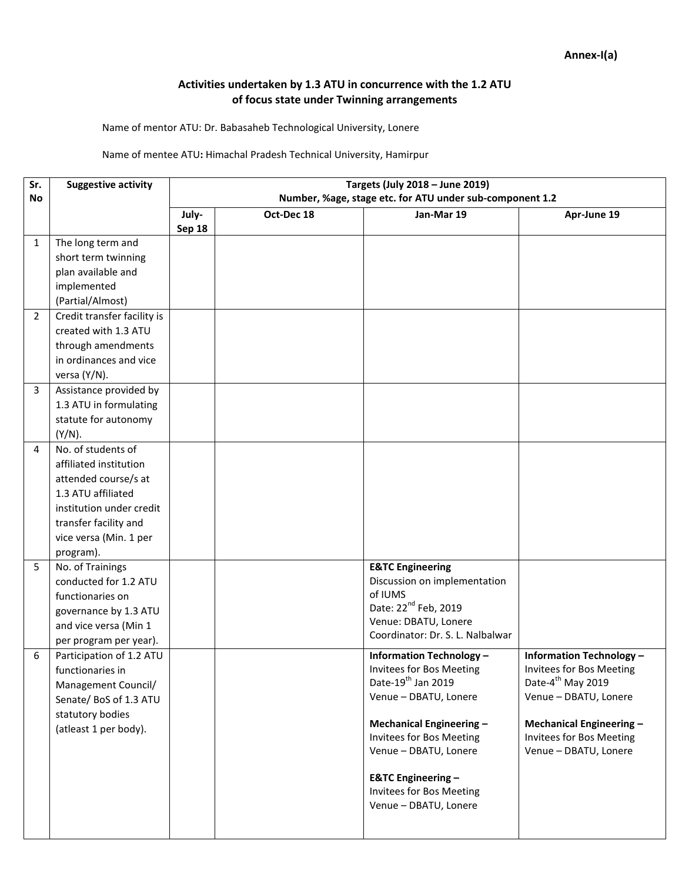## **Activities undertaken by 1.3 ATU in concurrence with the 1.2 ATU of focus state under Twinning arrangements**

Name of mentor ATU: Dr. Babasaheb Technological University, Lonere

## Name of mentee ATU**:** Himachal Pradesh Technical University, Hamirpur

| Sr.            | <b>Suggestive activity</b>  | Targets (July 2018 - June 2019)                          |            |                                                          |                                 |
|----------------|-----------------------------|----------------------------------------------------------|------------|----------------------------------------------------------|---------------------------------|
| No             |                             | Number, %age, stage etc. for ATU under sub-component 1.2 |            |                                                          |                                 |
|                |                             | July-                                                    | Oct-Dec 18 | Jan-Mar 19                                               | Apr-June 19                     |
|                |                             | Sep 18                                                   |            |                                                          |                                 |
| 1              | The long term and           |                                                          |            |                                                          |                                 |
|                | short term twinning         |                                                          |            |                                                          |                                 |
|                | plan available and          |                                                          |            |                                                          |                                 |
|                | implemented                 |                                                          |            |                                                          |                                 |
|                | (Partial/Almost)            |                                                          |            |                                                          |                                 |
| $\overline{2}$ | Credit transfer facility is |                                                          |            |                                                          |                                 |
|                | created with 1.3 ATU        |                                                          |            |                                                          |                                 |
|                | through amendments          |                                                          |            |                                                          |                                 |
|                | in ordinances and vice      |                                                          |            |                                                          |                                 |
|                | versa (Y/N).                |                                                          |            |                                                          |                                 |
| 3              | Assistance provided by      |                                                          |            |                                                          |                                 |
|                | 1.3 ATU in formulating      |                                                          |            |                                                          |                                 |
|                | statute for autonomy        |                                                          |            |                                                          |                                 |
|                | $(Y/N)$ .                   |                                                          |            |                                                          |                                 |
| 4              | No. of students of          |                                                          |            |                                                          |                                 |
|                | affiliated institution      |                                                          |            |                                                          |                                 |
|                | attended course/s at        |                                                          |            |                                                          |                                 |
|                | 1.3 ATU affiliated          |                                                          |            |                                                          |                                 |
|                | institution under credit    |                                                          |            |                                                          |                                 |
|                | transfer facility and       |                                                          |            |                                                          |                                 |
|                | vice versa (Min. 1 per      |                                                          |            |                                                          |                                 |
|                | program).                   |                                                          |            |                                                          |                                 |
| 5              | No. of Trainings            |                                                          |            | <b>E&amp;TC Engineering</b>                              |                                 |
|                | conducted for 1.2 ATU       |                                                          |            | Discussion on implementation                             |                                 |
|                | functionaries on            |                                                          |            | of IUMS                                                  |                                 |
|                | governance by 1.3 ATU       |                                                          |            | Date: 22 <sup>nd</sup> Feb, 2019                         |                                 |
|                | and vice versa (Min 1       |                                                          |            | Venue: DBATU, Lonere<br>Coordinator: Dr. S. L. Nalbalwar |                                 |
|                | per program per year).      |                                                          |            |                                                          |                                 |
| 6              | Participation of 1.2 ATU    |                                                          |            | <b>Information Technology -</b>                          | <b>Information Technology -</b> |
|                | functionaries in            |                                                          |            | <b>Invitees for Bos Meeting</b>                          | Invitees for Bos Meeting        |
|                | Management Council/         |                                                          |            | Date-19 <sup>th</sup> Jan 2019                           | Date-4 <sup>th</sup> May 2019   |
|                | Senate/BoS of 1.3 ATU       |                                                          |            | Venue - DBATU, Lonere                                    | Venue - DBATU, Lonere           |
|                | statutory bodies            |                                                          |            | Mechanical Engineering -                                 | Mechanical Engineering -        |
|                | (atleast 1 per body).       |                                                          |            | <b>Invitees for Bos Meeting</b>                          | Invitees for Bos Meeting        |
|                |                             |                                                          |            | Venue - DBATU, Lonere                                    | Venue - DBATU, Lonere           |
|                |                             |                                                          |            |                                                          |                                 |
|                |                             |                                                          |            | <b>E&amp;TC Engineering -</b>                            |                                 |
|                |                             |                                                          |            | Invitees for Bos Meeting                                 |                                 |
|                |                             |                                                          |            | Venue - DBATU, Lonere                                    |                                 |
|                |                             |                                                          |            |                                                          |                                 |
|                |                             |                                                          |            |                                                          |                                 |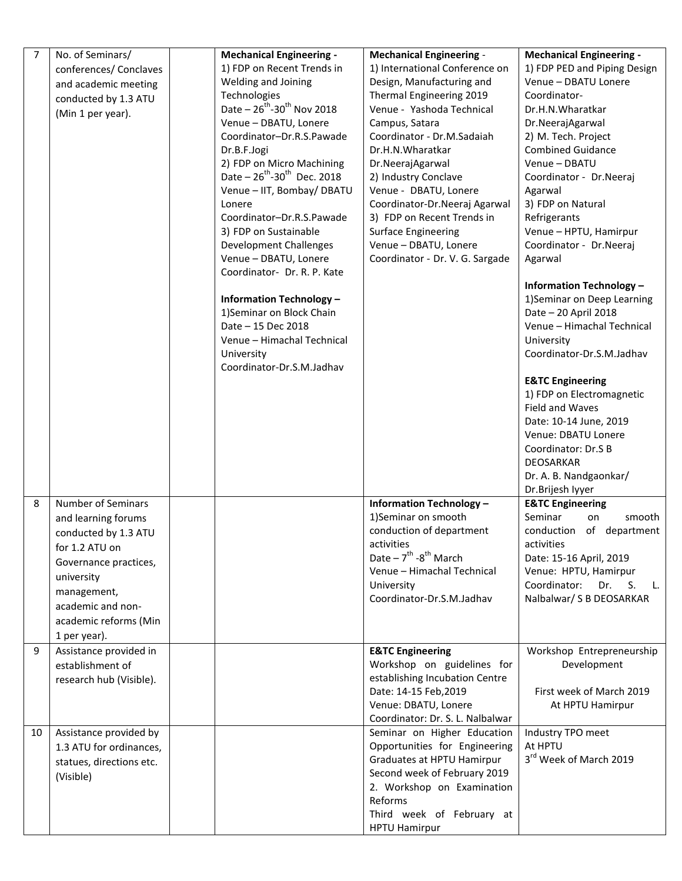| 7  | No. of Seminars/<br>conferences/ Conclaves<br>and academic meeting<br>conducted by 1.3 ATU<br>(Min 1 per year).                                                                                                | <b>Mechanical Engineering -</b><br>1) FDP on Recent Trends in<br>Welding and Joining<br>Technologies<br>Date $-26^{th}$ -30 <sup>th</sup> Nov 2018<br>Venue - DBATU, Lonere<br>Coordinator-Dr.R.S.Pawade<br>Dr.B.F.Jogi<br>2) FDP on Micro Machining<br>Date $-26^{th}$ -30 <sup>th</sup> Dec. 2018<br>Venue - IIT, Bombay/ DBATU<br>Lonere<br>Coordinator-Dr.R.S.Pawade<br>3) FDP on Sustainable<br><b>Development Challenges</b><br>Venue - DBATU, Lonere<br>Coordinator- Dr. R. P. Kate<br><b>Information Technology -</b><br>1) Seminar on Block Chain<br>Date - 15 Dec 2018<br>Venue - Himachal Technical<br>University<br>Coordinator-Dr.S.M.Jadhav | <b>Mechanical Engineering -</b><br>1) International Conference on<br>Design, Manufacturing and<br>Thermal Engineering 2019<br>Venue - Yashoda Technical<br>Campus, Satara<br>Coordinator - Dr.M.Sadaiah<br>Dr.H.N.Wharatkar<br>Dr.NeerajAgarwal<br>2) Industry Conclave<br>Venue - DBATU, Lonere<br>Coordinator-Dr.Neeraj Agarwal<br>3) FDP on Recent Trends in<br><b>Surface Engineering</b><br>Venue - DBATU, Lonere<br>Coordinator - Dr. V. G. Sargade | <b>Mechanical Engineering -</b><br>1) FDP PED and Piping Design<br>Venue - DBATU Lonere<br>Coordinator-<br>Dr.H.N.Wharatkar<br>Dr.NeerajAgarwal<br>2) M. Tech. Project<br><b>Combined Guidance</b><br>Venue - DBATU<br>Coordinator - Dr.Neeraj<br>Agarwal<br>3) FDP on Natural<br>Refrigerants<br>Venue - HPTU, Hamirpur<br>Coordinator - Dr.Neeraj<br>Agarwal<br><b>Information Technology -</b><br>1) Seminar on Deep Learning<br>Date - 20 April 2018<br>Venue - Himachal Technical<br>University<br>Coordinator-Dr.S.M.Jadhav<br><b>E&amp;TC Engineering</b><br>1) FDP on Electromagnetic<br>Field and Waves<br>Date: 10-14 June, 2019<br>Venue: DBATU Lonere<br>Coordinator: Dr.S B<br>DEOSARKAR<br>Dr. A. B. Nandgaonkar/<br>Dr.Brijesh lyyer |
|----|----------------------------------------------------------------------------------------------------------------------------------------------------------------------------------------------------------------|-----------------------------------------------------------------------------------------------------------------------------------------------------------------------------------------------------------------------------------------------------------------------------------------------------------------------------------------------------------------------------------------------------------------------------------------------------------------------------------------------------------------------------------------------------------------------------------------------------------------------------------------------------------|-----------------------------------------------------------------------------------------------------------------------------------------------------------------------------------------------------------------------------------------------------------------------------------------------------------------------------------------------------------------------------------------------------------------------------------------------------------|-----------------------------------------------------------------------------------------------------------------------------------------------------------------------------------------------------------------------------------------------------------------------------------------------------------------------------------------------------------------------------------------------------------------------------------------------------------------------------------------------------------------------------------------------------------------------------------------------------------------------------------------------------------------------------------------------------------------------------------------------------|
| 8  | <b>Number of Seminars</b><br>and learning forums<br>conducted by 1.3 ATU<br>for 1.2 ATU on<br>Governance practices,<br>university<br>management,<br>academic and non-<br>academic reforms (Min<br>1 per year). |                                                                                                                                                                                                                                                                                                                                                                                                                                                                                                                                                                                                                                                           | <b>Information Technology -</b><br>1)Seminar on smooth<br>conduction of department<br>activities<br>Date $-7$ <sup>th</sup> -8 <sup>th</sup> March<br>Venue - Himachal Technical<br>University<br>Coordinator-Dr.S.M.Jadhav                                                                                                                                                                                                                               | <b>E&amp;TC Engineering</b><br>Seminar<br>smooth<br>on<br>conduction of department<br>activities<br>Date: 15-16 April, 2019<br>Venue: HPTU, Hamirpur<br>Coordinator:<br>Dr.<br>S.<br>L.<br>Nalbalwar/ S B DEOSARKAR                                                                                                                                                                                                                                                                                                                                                                                                                                                                                                                                 |
| 9  | Assistance provided in<br>establishment of<br>research hub (Visible).                                                                                                                                          |                                                                                                                                                                                                                                                                                                                                                                                                                                                                                                                                                                                                                                                           | <b>E&amp;TC Engineering</b><br>Workshop on guidelines for<br>establishing Incubation Centre<br>Date: 14-15 Feb, 2019<br>Venue: DBATU, Lonere<br>Coordinator: Dr. S. L. Nalbalwar                                                                                                                                                                                                                                                                          | Workshop Entrepreneurship<br>Development<br>First week of March 2019<br>At HPTU Hamirpur                                                                                                                                                                                                                                                                                                                                                                                                                                                                                                                                                                                                                                                            |
| 10 | Assistance provided by<br>1.3 ATU for ordinances,<br>statues, directions etc.<br>(Visible)                                                                                                                     |                                                                                                                                                                                                                                                                                                                                                                                                                                                                                                                                                                                                                                                           | Seminar on Higher Education<br>Opportunities for Engineering<br>Graduates at HPTU Hamirpur<br>Second week of February 2019<br>2. Workshop on Examination<br>Reforms<br>Third week of February at<br><b>HPTU Hamirpur</b>                                                                                                                                                                                                                                  | Industry TPO meet<br>At HPTU<br>3rd Week of March 2019                                                                                                                                                                                                                                                                                                                                                                                                                                                                                                                                                                                                                                                                                              |